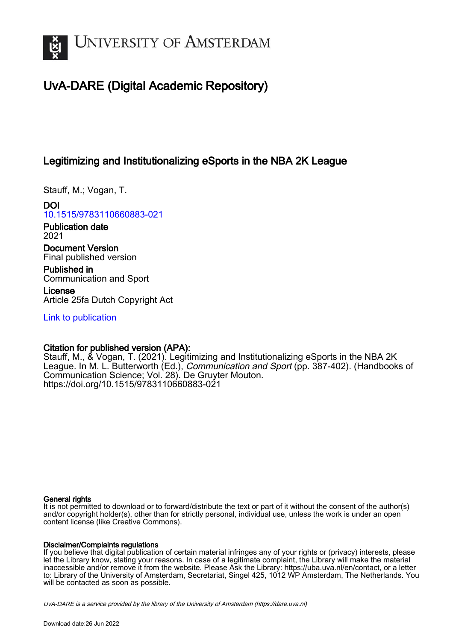

# UvA-DARE (Digital Academic Repository)

## Legitimizing and Institutionalizing eSports in the NBA 2K League

Stauff, M.; Vogan, T.

DOI [10.1515/9783110660883-021](https://doi.org/10.1515/9783110660883-021)

Publication date 2021

Document Version Final published version

Published in Communication and Sport

License Article 25fa Dutch Copyright Act

[Link to publication](https://dare.uva.nl/personal/pure/en/publications/legitimizing-and-institutionalizing-esports-in-the-nba-2k-league(9394419b-d2af-4a7c-9e15-a13bf876f955).html)

### Citation for published version (APA):

Stauff, M., & Vogan, T. (2021). Legitimizing and Institutionalizing eSports in the NBA 2K League. In M. L. Butterworth (Ed.), *Communication and Sport* (pp. 387-402). (Handbooks of Communication Science; Vol. 28). De Gruyter Mouton. <https://doi.org/10.1515/9783110660883-021>

#### General rights

It is not permitted to download or to forward/distribute the text or part of it without the consent of the author(s) and/or copyright holder(s), other than for strictly personal, individual use, unless the work is under an open content license (like Creative Commons).

#### Disclaimer/Complaints regulations

If you believe that digital publication of certain material infringes any of your rights or (privacy) interests, please let the Library know, stating your reasons. In case of a legitimate complaint, the Library will make the material inaccessible and/or remove it from the website. Please Ask the Library: https://uba.uva.nl/en/contact, or a letter to: Library of the University of Amsterdam, Secretariat, Singel 425, 1012 WP Amsterdam, The Netherlands. You will be contacted as soon as possible.

UvA-DARE is a service provided by the library of the University of Amsterdam (http*s*://dare.uva.nl)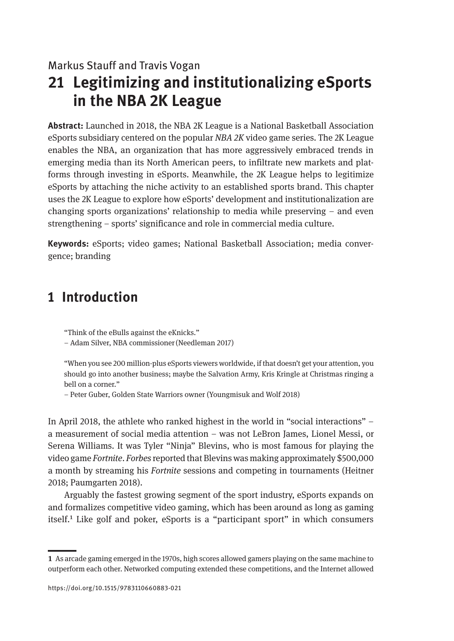### Markus Stauff and Travis Vogan

# **21 Legitimizing and institutionalizing eSports in the NBA 2K League**

**Abstract:** Launched in 2018, the NBA 2K League is a National Basketball Association eSports subsidiary centered on the popular *NBA 2K* video game series. The 2K League enables the NBA, an organization that has more aggressively embraced trends in emerging media than its North American peers, to infiltrate new markets and platforms through investing in eSports. Meanwhile, the 2K League helps to legitimize eSports by attaching the niche activity to an established sports brand. This chapter uses the 2K League to explore how eSports' development and institutionalization are changing sports organizations' relationship to media while preserving – and even strengthening – sports' significance and role in commercial media culture.

**Keywords:** eSports; video games; National Basketball Association; media convergence; branding

## **1 Introduction**

"Think of the eBulls against the eKnicks."

– Adam Silver, NBA commissioner(Needleman 2017)

"When you see 200 million-plus eSports viewers worldwide, if that doesn't get your attention, you should go into another business; maybe the Salvation Army, Kris Kringle at Christmas ringing a bell on a corner."

– Peter Guber, Golden State Warriors owner (Youngmisuk and Wolf 2018)

In April 2018, the athlete who ranked highest in the world in "social interactions" – a measurement of social media attention – was not LeBron James, Lionel Messi, or Serena Williams. It was Tyler "Ninja" Blevins, who is most famous for playing the video game *Fortnite*. *Forbes* reported that Blevins was making approximately \$500,000 a month by streaming his *Fortnite* sessions and competing in tournaments (Heitner 2018; Paumgarten 2018).

Arguably the fastest growing segment of the sport industry, eSports expands on and formalizes competitive video gaming, which has been around as long as gaming itself.<sup>1</sup> Like golf and poker, eSports is a "participant sport" in which consumers

**<sup>1</sup>** As arcade gaming emerged in the 1970s, high scores allowed gamers playing on the same machine to outperform each other. Networked computing extended these competitions, and the Internet allowed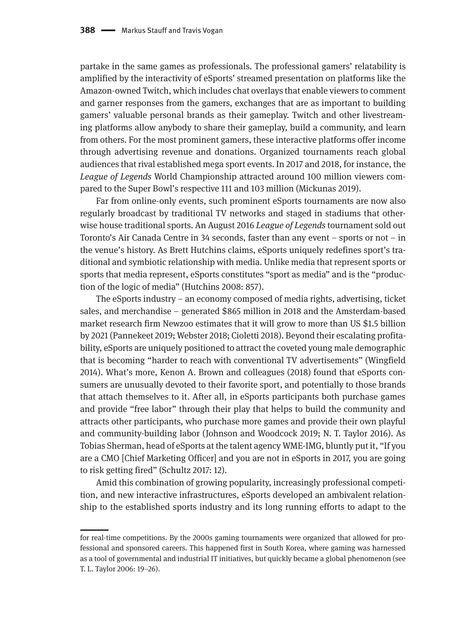partake in the same games as professionals. The professional gamers' relatability is amplified by the interactivity of eSports' streamed presentation on platforms like the Amazon-owned Twitch, which includes chat overlays that enable viewers to comment and garner responses from the gamers, exchanges that are as important to building gamers' valuable personal brands as their gameplay. Twitch and other livestreaming platforms allow anybody to share their gameplay, build a community, and learn from others. For the most prominent gamers, these interactive platforms offer income through advertising revenue and donations. Organized tournaments reach global audiences that rival established mega sport events. In 2017 and 2018, for instance, the *League of Legends* World Championship attracted around 100 million viewers compared to the Super Bowl's respective 111 and 103 million (Mickunas 2019).

Far from online-only events, such prominent eSports tournaments are now also regularly broadcast by traditional TV networks and staged in stadiums that otherwise house traditional sports. An August 2016 *League of Legends* tournament sold out Toronto's Air Canada Centre in 34 seconds, faster than any event – sports or not – in the venue's history. As Brett Hutchins claims, eSports uniquely redefines sport's traditional and symbiotic relationship with media. Unlike media that represent sports or sports that media represent, eSports constitutes "sport as media" and is the "production of the logic of media" (Hutchins 2008: 857).

The eSports industry – an economy composed of media rights, advertising, ticket sales, and merchandise – generated \$865 million in 2018 and the Amsterdam-based market research firm Newzoo estimates that it will grow to more than US \$1.5 billion by 2021 (Pannekeet 2019; Webster 2018; Cioletti 2018). Beyond their escalating profitability, eSports are uniquely positioned to attract the coveted young male demographic that is becoming "harder to reach with conventional TV advertisements" (Wingfield 2014). What's more, Kenon A. Brown and colleagues (2018) found that eSports consumers are unusually devoted to their favorite sport, and potentially to those brands that attach themselves to it. After all, in eSports participants both purchase games and provide "free labor" through their play that helps to build the community and attracts other participants, who purchase more games and provide their own playful and community-building labor (Johnson and Woodcock 2019; N. T. Taylor 2016). As Tobias Sherman, head of eSports at the talent agency WME-IMG, bluntly put it, "If you are a CMO [Chief Marketing Officer] and you are not in eSports in 2017, you are going to risk getting fired" (Schultz 2017: 12).

Amid this combination of growing popularity, increasingly professional competition, and new interactive infrastructures, eSports developed an ambivalent relationship to the established sports industry and its long running efforts to adapt to the

for real-time competitions. By the 2000s gaming tournaments were organized that allowed for professional and sponsored careers. This happened first in South Korea, where gaming was harnessed as a tool of governmental and industrial IT initiatives, but quickly became a global phenomenon (see T. L. Taylor 2006: 19–26).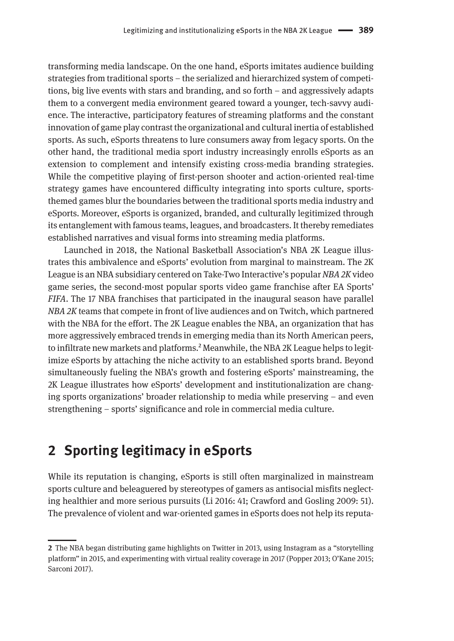transforming media landscape. On the one hand, eSports imitates audience building strategies from traditional sports – the serialized and hierarchized system of competitions, big live events with stars and branding, and so forth – and aggressively adapts them to a convergent media environment geared toward a younger, tech-savvy audience. The interactive, participatory features of streaming platforms and the constant innovation of game play contrast the organizational and cultural inertia of established sports. As such, eSports threatens to lure consumers away from legacy sports. On the other hand, the traditional media sport industry increasingly enrolls eSports as an extension to complement and intensify existing cross-media branding strategies. While the competitive playing of first-person shooter and action-oriented real-time strategy games have encountered difficulty integrating into sports culture, sportsthemed games blur the boundaries between the traditional sports media industry and eSports. Moreover, eSports is organized, branded, and culturally legitimized through its entanglement with famous teams, leagues, and broadcasters. It thereby remediates established narratives and visual forms into streaming media platforms.

Launched in 2018, the National Basketball Association's NBA 2K League illustrates this ambivalence and eSports' evolution from marginal to mainstream. The 2K League is an NBA subsidiary centered on Take-Two Interactive's popular *NBA 2K* video game series, the second-most popular sports video game franchise after EA Sports' *FIFA*. The 17 NBA franchises that participated in the inaugural season have parallel *NBA 2K* teams that compete in front of live audiences and on Twitch, which partnered with the NBA for the effort. The 2K League enables the NBA, an organization that has more aggressively embraced trends in emerging media than its North American peers, to infiltrate new markets and platforms.<sup>2</sup> Meanwhile, the NBA 2K League helps to legitimize eSports by attaching the niche activity to an established sports brand. Beyond simultaneously fueling the NBA's growth and fostering eSports' mainstreaming, the 2K League illustrates how eSports' development and institutionalization are changing sports organizations' broader relationship to media while preserving – and even strengthening – sports' significance and role in commercial media culture.

## **2 Sporting legitimacy in eSports**

While its reputation is changing, eSports is still often marginalized in mainstream sports culture and beleaguered by stereotypes of gamers as antisocial misfits neglecting healthier and more serious pursuits (Li 2016: 41; Crawford and Gosling 2009: 51). The prevalence of violent and war-oriented games in eSports does not help its reputa-

**<sup>2</sup>** The NBA began distributing game highlights on Twitter in 2013, using Instagram as a "storytelling platform" in 2015, and experimenting with virtual reality coverage in 2017 (Popper 2013; O'Kane 2015; Sarconi 2017).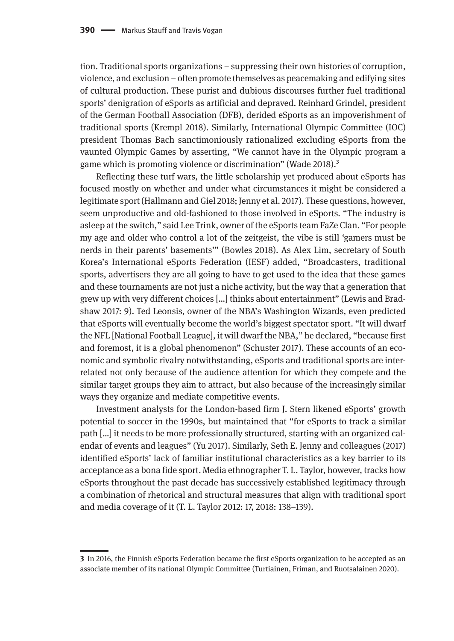tion. Traditional sports organizations – suppressing their own histories of corruption, violence, and exclusion – often promote themselves as peacemaking and edifying sites of cultural production. These purist and dubious discourses further fuel traditional sports' denigration of eSports as artificial and depraved. Reinhard Grindel, president of the German Football Association (DFB), derided eSports as an impoverishment of traditional sports (Krempl 2018). Similarly, International Olympic Committee (IOC) president Thomas Bach sanctimoniously rationalized excluding eSports from the vaunted Olympic Games by asserting, "We cannot have in the Olympic program a game which is promoting violence or discrimination" (Wade 2018).3

Reflecting these turf wars, the little scholarship yet produced about eSports has focused mostly on whether and under what circumstances it might be considered a legitimate sport (Hallmann and Giel 2018; Jenny et al. 2017). These questions, however, seem unproductive and old-fashioned to those involved in eSports. "The industry is asleep at the switch," said Lee Trink, owner of the eSports team FaZe Clan. "For people my age and older who control a lot of the zeitgeist, the vibe is still 'gamers must be nerds in their parents' basements'" (Bowles 2018). As Alex Lim, secretary of South Korea's International eSports Federation (IESF) added, "Broadcasters, traditional sports, advertisers they are all going to have to get used to the idea that these games and these tournaments are not just a niche activity, but the way that a generation that grew up with very different choices […] thinks about entertainment" (Lewis and Bradshaw 2017: 9). Ted Leonsis, owner of the NBA's Washington Wizards, even predicted that eSports will eventually become the world's biggest spectator sport. "It will dwarf the NFL [National Football League], it will dwarf the NBA," he declared, "because first and foremost, it is a global phenomenon" (Schuster 2017). These accounts of an economic and symbolic rivalry notwithstanding, eSports and traditional sports are interrelated not only because of the audience attention for which they compete and the similar target groups they aim to attract, but also because of the increasingly similar ways they organize and mediate competitive events.

Investment analysts for the London-based firm J. Stern likened eSports' growth potential to soccer in the 1990s, but maintained that "for eSports to track a similar path […] it needs to be more professionally structured, starting with an organized calendar of events and leagues" (Yu 2017). Similarly, Seth E. Jenny and colleagues (2017) identified eSports' lack of familiar institutional characteristics as a key barrier to its acceptance as a bona fide sport. Media ethnographer T. L. Taylor, however, tracks how eSports throughout the past decade has successively established legitimacy through a combination of rhetorical and structural measures that align with traditional sport and media coverage of it (T. L. Taylor 2012: 17, 2018: 138–139).

**<sup>3</sup>** In 2016, the Finnish eSports Federation became the first eSports organization to be accepted as an associate member of its national Olympic Committee (Turtiainen, Friman, and Ruotsalainen 2020).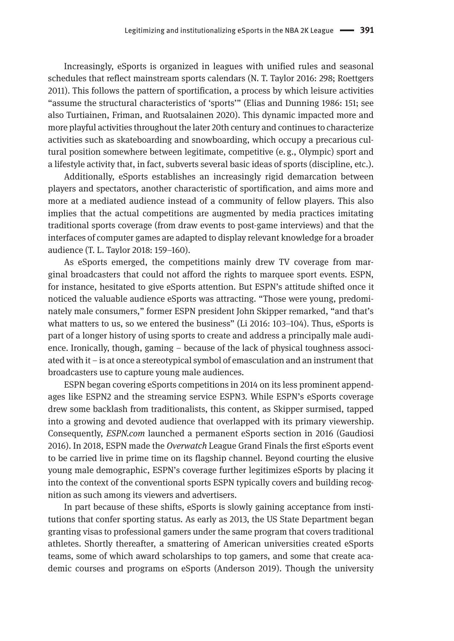Increasingly, eSports is organized in leagues with unified rules and seasonal schedules that reflect mainstream sports calendars (N. T. Taylor 2016: 298; Roettgers 2011). This follows the pattern of sportification, a process by which leisure activities "assume the structural characteristics of 'sports'" (Elias and Dunning 1986: 151; see also Turtiainen, Friman, and Ruotsalainen 2020). This dynamic impacted more and more playful activities throughout the later 20th century and continues to characterize activities such as skateboarding and snowboarding, which occupy a precarious cultural position somewhere between legitimate, competitive (e. g., Olympic) sport and a lifestyle activity that, in fact, subverts several basic ideas of sports (discipline, etc.).

Additionally, eSports establishes an increasingly rigid demarcation between players and spectators, another characteristic of sportification, and aims more and more at a mediated audience instead of a community of fellow players. This also implies that the actual competitions are augmented by media practices imitating traditional sports coverage (from draw events to post-game interviews) and that the interfaces of computer games are adapted to display relevant knowledge for a broader audience (T. L. Taylor 2018: 159–160).

As eSports emerged, the competitions mainly drew TV coverage from marginal broadcasters that could not afford the rights to marquee sport events. ESPN, for instance, hesitated to give eSports attention. But ESPN's attitude shifted once it noticed the valuable audience eSports was attracting. "Those were young, predominately male consumers," former ESPN president John Skipper remarked, "and that's what matters to us, so we entered the business" (Li 2016: 103–104). Thus, eSports is part of a longer history of using sports to create and address a principally male audience. Ironically, though, gaming – because of the lack of physical toughness associated with it – is at once a stereotypical symbol of emasculation and an instrument that broadcasters use to capture young male audiences.

ESPN began covering eSports competitions in 2014 on its less prominent appendages like ESPN2 and the streaming service ESPN3. While ESPN's eSports coverage drew some backlash from traditionalists, this content, as Skipper surmised, tapped into a growing and devoted audience that overlapped with its primary viewership. Consequently, *ESPN.com* launched a permanent eSports section in 2016 (Gaudiosi 2016). In 2018, ESPN made the *Overwatch* League Grand Finals the first eSports event to be carried live in prime time on its flagship channel. Beyond courting the elusive young male demographic, ESPN's coverage further legitimizes eSports by placing it into the context of the conventional sports ESPN typically covers and building recognition as such among its viewers and advertisers.

In part because of these shifts, eSports is slowly gaining acceptance from institutions that confer sporting status. As early as 2013, the US State Department began granting visas to professional gamers under the same program that covers traditional athletes. Shortly thereafter, a smattering of American universities created eSports teams, some of which award scholarships to top gamers, and some that create academic courses and programs on eSports (Anderson 2019). Though the university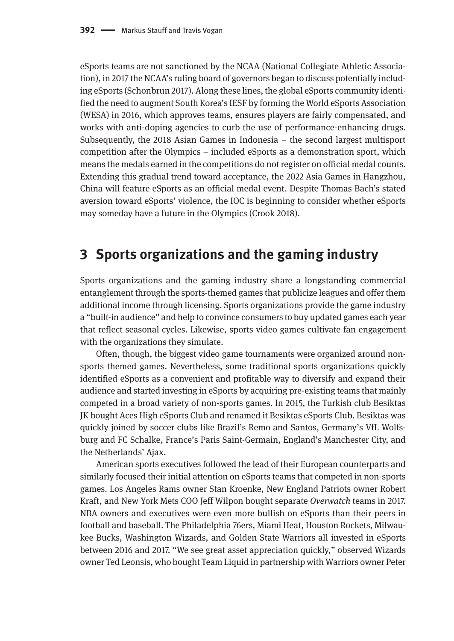eSports teams are not sanctioned by the NCAA (National Collegiate Athletic Association), in 2017 the NCAA's ruling board of governors began to discuss potentially including eSports (Schonbrun 2017). Along these lines, the global eSports community identified the need to augment South Korea's IESF by forming the World eSports Association (WESA) in 2016, which approves teams, ensures players are fairly compensated, and works with anti-doping agencies to curb the use of performance-enhancing drugs. Subsequently, the 2018 Asian Games in Indonesia – the second largest multisport competition after the Olympics – included eSports as a demonstration sport, which means the medals earned in the competitions do not register on official medal counts. Extending this gradual trend toward acceptance, the 2022 Asia Games in Hangzhou, China will feature eSports as an official medal event. Despite Thomas Bach's stated aversion toward eSports' violence, the IOC is beginning to consider whether eSports may someday have a future in the Olympics (Crook 2018).

## **3 Sports organizations and the gaming industry**

Sports organizations and the gaming industry share a longstanding commercial entanglement through the sports-themed games that publicize leagues and offer them additional income through licensing. Sports organizations provide the game industry a "built-in audience" and help to convince consumers to buy updated games each year that reflect seasonal cycles. Likewise, sports video games cultivate fan engagement with the organizations they simulate.

Often, though, the biggest video game tournaments were organized around nonsports themed games. Nevertheless, some traditional sports organizations quickly identified eSports as a convenient and profitable way to diversify and expand their audience and started investing in eSports by acquiring pre-existing teams that mainly competed in a broad variety of non-sports games. In 2015, the Turkish club Besiktas JK bought Aces High eSports Club and renamed it Besiktas eSports Club. Besiktas was quickly joined by soccer clubs like Brazil's Remo and Santos, Germany's VfL Wolfsburg and FC Schalke, France's Paris Saint-Germain, England's Manchester City, and the Netherlands' Ajax.

American sports executives followed the lead of their European counterparts and similarly focused their initial attention on eSports teams that competed in non-sports games. Los Angeles Rams owner Stan Kroenke, New England Patriots owner Robert Kraft, and New York Mets COO Jeff Wilpon bought separate *Overwatch* teams in 2017. NBA owners and executives were even more bullish on eSports than their peers in football and baseball. The Philadelphia 76ers, Miami Heat, Houston Rockets, Milwaukee Bucks, Washington Wizards, and Golden State Warriors all invested in eSports between 2016 and 2017. "We see great asset appreciation quickly," observed Wizards owner Ted Leonsis, who bought Team Liquid in partnership with Warriors owner Peter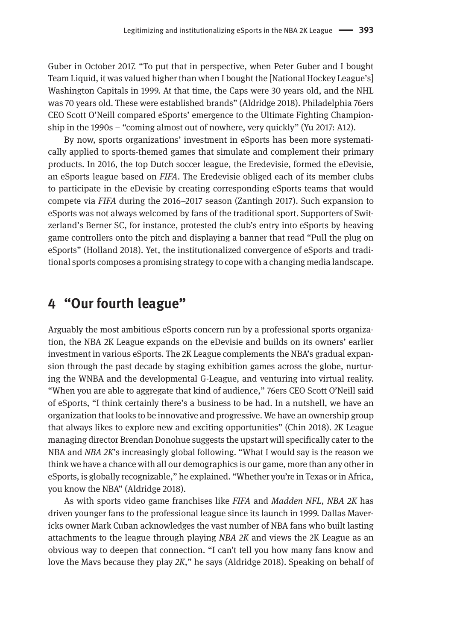Guber in October 2017. "To put that in perspective, when Peter Guber and I bought Team Liquid, it was valued higher than when I bought the [National Hockey League's] Washington Capitals in 1999. At that time, the Caps were 30 years old, and the NHL was 70 years old. These were established brands" (Aldridge 2018). Philadelphia 76ers CEO Scott O'Neill compared eSports' emergence to the Ultimate Fighting Championship in the 1990s – "coming almost out of nowhere, very quickly" (Yu 2017: A12).

By now, sports organizations' investment in eSports has been more systematically applied to sports-themed games that simulate and complement their primary products. In 2016, the top Dutch soccer league, the Eredevisie, formed the eDevisie, an eSports league based on *FIFA*. The Eredevisie obliged each of its member clubs to participate in the eDevisie by creating corresponding eSports teams that would compete via *FIFA* during the 2016–2017 season (Zantingh 2017). Such expansion to eSports was not always welcomed by fans of the traditional sport. Supporters of Switzerland's Berner SC, for instance, protested the club's entry into eSports by heaving game controllers onto the pitch and displaying a banner that read "Pull the plug on eSports" (Holland 2018). Yet, the institutionalized convergence of eSports and traditional sports composes a promising strategy to cope with a changing media landscape.

## **4 "Our fourth league"**

Arguably the most ambitious eSports concern run by a professional sports organization, the NBA 2K League expands on the eDevisie and builds on its owners' earlier investment in various eSports. The 2K League complements the NBA's gradual expansion through the past decade by staging exhibition games across the globe, nurturing the WNBA and the developmental G-League, and venturing into virtual reality. "When you are able to aggregate that kind of audience," 76ers CEO Scott O'Neill said of eSports, "I think certainly there's a business to be had. In a nutshell, we have an organization that looks to be innovative and progressive. We have an ownership group that always likes to explore new and exciting opportunities" (Chin 2018). 2K League managing director Brendan Donohue suggests the upstart will specifically cater to the NBA and *NBA 2K*'s increasingly global following. "What I would say is the reason we think we have a chance with all our demographics is our game, more than any other in eSports, is globally recognizable," he explained. "Whether you're in Texas or in Africa, you know the NBA" (Aldridge 2018).

As with sports video game franchises like *FIFA* and *Madden NFL*, *NBA 2K* has driven younger fans to the professional league since its launch in 1999. Dallas Mavericks owner Mark Cuban acknowledges the vast number of NBA fans who built lasting attachments to the league through playing *NBA 2K* and views the 2K League as an obvious way to deepen that connection. "I can't tell you how many fans know and love the Mavs because they play *2K*," he says (Aldridge 2018). Speaking on behalf of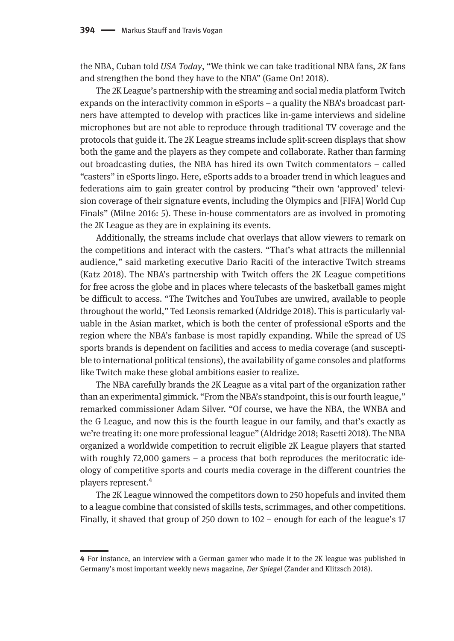the NBA, Cuban told *USA Today*, "We think we can take traditional NBA fans, *2K* fans and strengthen the bond they have to the NBA" (Game On! 2018).

The 2K League's partnership with the streaming and social media platform Twitch expands on the interactivity common in eSports – a quality the NBA's broadcast partners have attempted to develop with practices like in-game interviews and sideline microphones but are not able to reproduce through traditional TV coverage and the protocols that guide it. The 2K League streams include split-screen displays that show both the game and the players as they compete and collaborate. Rather than farming out broadcasting duties, the NBA has hired its own Twitch commentators – called "casters" in eSports lingo. Here, eSports adds to a broader trend in which leagues and federations aim to gain greater control by producing "their own 'approved' television coverage of their signature events, including the Olympics and [FIFA] World Cup Finals" (Milne 2016: 5). These in-house commentators are as involved in promoting the 2K League as they are in explaining its events.

Additionally, the streams include chat overlays that allow viewers to remark on the competitions and interact with the casters. "That's what attracts the millennial audience," said marketing executive Dario Raciti of the interactive Twitch streams (Katz 2018). The NBA's partnership with Twitch offers the 2K League competitions for free across the globe and in places where telecasts of the basketball games might be difficult to access. "The Twitches and YouTubes are unwired, available to people throughout the world," Ted Leonsis remarked (Aldridge 2018). This is particularly valuable in the Asian market, which is both the center of professional eSports and the region where the NBA's fanbase is most rapidly expanding. While the spread of US sports brands is dependent on facilities and access to media coverage (and susceptible to international political tensions), the availability of game consoles and platforms like Twitch make these global ambitions easier to realize.

The NBA carefully brands the 2K League as a vital part of the organization rather than an experimental gimmick. "From the NBA's standpoint, this is our fourth league," remarked commissioner Adam Silver. "Of course, we have the NBA, the WNBA and the G League, and now this is the fourth league in our family, and that's exactly as we're treating it: one more professional league" (Aldridge 2018; Rasetti 2018). The NBA organized a worldwide competition to recruit eligible 2K League players that started with roughly 72,000 gamers – a process that both reproduces the meritocratic ideology of competitive sports and courts media coverage in the different countries the players represent.4

The 2K League winnowed the competitors down to 250 hopefuls and invited them to a league combine that consisted of skills tests, scrimmages, and other competitions. Finally, it shaved that group of 250 down to 102 – enough for each of the league's 17

**<sup>4</sup>** For instance, an interview with a German gamer who made it to the 2K league was published in Germany's most important weekly news magazine, *Der Spiegel* (Zander and Klitzsch 2018).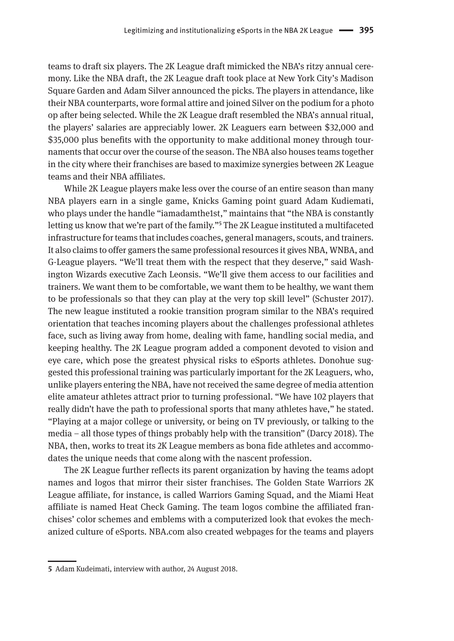teams to draft six players. The 2K League draft mimicked the NBA's ritzy annual ceremony. Like the NBA draft, the 2K League draft took place at New York City's Madison Square Garden and Adam Silver announced the picks. The players in attendance, like their NBA counterparts, wore formal attire and joined Silver on the podium for a photo op after being selected. While the 2K League draft resembled the NBA's annual ritual, the players' salaries are appreciably lower. 2K Leaguers earn between \$32,000 and \$35,000 plus benefits with the opportunity to make additional money through tournaments that occur over the course of the season. The NBA also houses teams together in the city where their franchises are based to maximize synergies between 2K League teams and their NBA affiliates.

While 2K League players make less over the course of an entire season than many NBA players earn in a single game, Knicks Gaming point guard Adam Kudiemati, who plays under the handle "iamadamthe1st," maintains that "the NBA is constantly letting us know that we're part of the family."5 The 2K League instituted a multifaceted infrastructure for teams that includes coaches, general managers, scouts, and trainers. It also claims to offer gamers the same professional resources it gives NBA, WNBA, and G-League players. "We'll treat them with the respect that they deserve," said Washington Wizards executive Zach Leonsis. "We'll give them access to our facilities and trainers. We want them to be comfortable, we want them to be healthy, we want them to be professionals so that they can play at the very top skill level" (Schuster 2017). The new league instituted a rookie transition program similar to the NBA's required orientation that teaches incoming players about the challenges professional athletes face, such as living away from home, dealing with fame, handling social media, and keeping healthy. The 2K League program added a component devoted to vision and eye care, which pose the greatest physical risks to eSports athletes. Donohue suggested this professional training was particularly important for the 2K Leaguers, who, unlike players entering the NBA, have not received the same degree of media attention elite amateur athletes attract prior to turning professional. "We have 102 players that really didn't have the path to professional sports that many athletes have," he stated. "Playing at a major college or university, or being on TV previously, or talking to the media – all those types of things probably help with the transition" (Darcy 2018). The NBA, then, works to treat its 2K League members as bona fide athletes and accommodates the unique needs that come along with the nascent profession.

The 2K League further reflects its parent organization by having the teams adopt names and logos that mirror their sister franchises. The Golden State Warriors 2K League affiliate, for instance, is called Warriors Gaming Squad, and the Miami Heat affiliate is named Heat Check Gaming. The team logos combine the affiliated franchises' color schemes and emblems with a computerized look that evokes the mechanized culture of eSports. NBA.com also created webpages for the teams and players

**<sup>5</sup>** Adam Kudeimati, interview with author, 24 August 2018.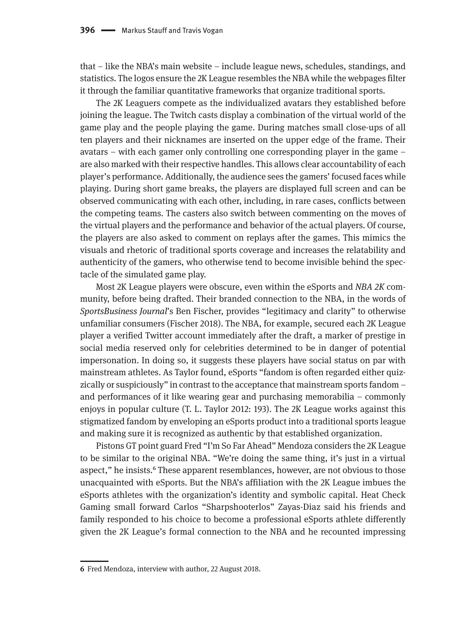that – like the NBA's main website – include league news, schedules, standings, and statistics. The logos ensure the 2K League resembles the NBA while the webpages filter it through the familiar quantitative frameworks that organize traditional sports.

The 2K Leaguers compete as the individualized avatars they established before joining the league. The Twitch casts display a combination of the virtual world of the game play and the people playing the game. During matches small close-ups of all ten players and their nicknames are inserted on the upper edge of the frame. Their avatars – with each gamer only controlling one corresponding player in the game – are also marked with their respective handles. This allows clear accountability of each player's performance. Additionally, the audience sees the gamers' focused faces while playing. During short game breaks, the players are displayed full screen and can be observed communicating with each other, including, in rare cases, conflicts between the competing teams. The casters also switch between commenting on the moves of the virtual players and the performance and behavior of the actual players. Of course, the players are also asked to comment on replays after the games. This mimics the visuals and rhetoric of traditional sports coverage and increases the relatability and authenticity of the gamers, who otherwise tend to become invisible behind the spectacle of the simulated game play.

Most 2K League players were obscure, even within the eSports and *NBA 2K* community, before being drafted. Their branded connection to the NBA, in the words of *SportsBusiness Journal*'s Ben Fischer, provides "legitimacy and clarity" to otherwise unfamiliar consumers (Fischer 2018). The NBA, for example, secured each 2K League player a verified Twitter account immediately after the draft, a marker of prestige in social media reserved only for celebrities determined to be in danger of potential impersonation. In doing so, it suggests these players have social status on par with mainstream athletes. As Taylor found, eSports "fandom is often regarded either quizzically or suspiciously" in contrast to the acceptance that mainstream sports fandom – and performances of it like wearing gear and purchasing memorabilia – commonly enjoys in popular culture (T. L. Taylor 2012: 193). The 2K League works against this stigmatized fandom by enveloping an eSports product into a traditional sports league and making sure it is recognized as authentic by that established organization.

Pistons GT point guard Fred "I'm So Far Ahead" Mendoza considers the 2K League to be similar to the original NBA. "We're doing the same thing, it's just in a virtual aspect," he insists.<sup>6</sup> These apparent resemblances, however, are not obvious to those unacquainted with eSports. But the NBA's affiliation with the 2K League imbues the eSports athletes with the organization's identity and symbolic capital. Heat Check Gaming small forward Carlos "Sharpshooterlos" Zayas-Diaz said his friends and family responded to his choice to become a professional eSports athlete differently given the 2K League's formal connection to the NBA and he recounted impressing

**<sup>6</sup>** Fred Mendoza, interview with author, 22 August 2018.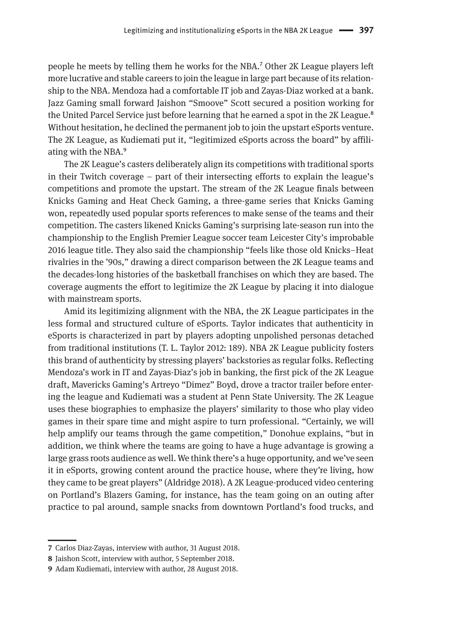people he meets by telling them he works for the NBA.7 Other 2K League players left more lucrative and stable careers to join the league in large part because of its relationship to the NBA. Mendoza had a comfortable IT job and Zayas-Diaz worked at a bank. Jazz Gaming small forward Jaishon "Smoove" Scott secured a position working for the United Parcel Service just before learning that he earned a spot in the 2K League.<sup>8</sup> Without hesitation, he declined the permanent job to join the upstart eSports venture. The 2K League, as Kudiemati put it, "legitimized eSports across the board" by affiliating with the NBA.9

The 2K League's casters deliberately align its competitions with traditional sports in their Twitch coverage – part of their intersecting efforts to explain the league's competitions and promote the upstart. The stream of the 2K League finals between Knicks Gaming and Heat Check Gaming, a three-game series that Knicks Gaming won, repeatedly used popular sports references to make sense of the teams and their competition. The casters likened Knicks Gaming's surprising late-season run into the championship to the English Premier League soccer team Leicester City's improbable 2016 league title. They also said the championship "feels like those old Knicks–Heat rivalries in the '90s," drawing a direct comparison between the 2K League teams and the decades-long histories of the basketball franchises on which they are based. The coverage augments the effort to legitimize the 2K League by placing it into dialogue with mainstream sports.

Amid its legitimizing alignment with the NBA, the 2K League participates in the less formal and structured culture of eSports. Taylor indicates that authenticity in eSports is characterized in part by players adopting unpolished personas detached from traditional institutions (T. L. Taylor 2012: 189). NBA 2K League publicity fosters this brand of authenticity by stressing players' backstories as regular folks. Reflecting Mendoza's work in IT and Zayas-Diaz's job in banking, the first pick of the 2K League draft, Mavericks Gaming's Artreyo "Dimez" Boyd, drove a tractor trailer before entering the league and Kudiemati was a student at Penn State University. The 2K League uses these biographies to emphasize the players' similarity to those who play video games in their spare time and might aspire to turn professional. "Certainly, we will help amplify our teams through the game competition," Donohue explains, "but in addition, we think where the teams are going to have a huge advantage is growing a large grass roots audience as well. We think there's a huge opportunity, and we've seen it in eSports, growing content around the practice house, where they're living, how they came to be great players" (Aldridge 2018). A 2K League-produced video centering on Portland's Blazers Gaming, for instance, has the team going on an outing after practice to pal around, sample snacks from downtown Portland's food trucks, and

**<sup>7</sup>** Carlos Diaz-Zayas, interview with author, 31 August 2018.

**<sup>8</sup>** Jaishon Scott, interview with author, 5 September 2018.

**<sup>9</sup>** Adam Kudiemati, interview with author, 28 August 2018.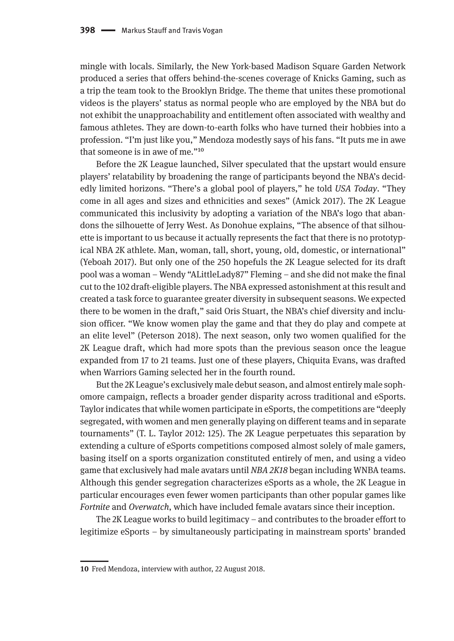mingle with locals. Similarly, the New York-based Madison Square Garden Network produced a series that offers behind-the-scenes coverage of Knicks Gaming, such as a trip the team took to the Brooklyn Bridge. The theme that unites these promotional videos is the players' status as normal people who are employed by the NBA but do not exhibit the unapproachability and entitlement often associated with wealthy and famous athletes. They are down-to-earth folks who have turned their hobbies into a profession. "I'm just like you," Mendoza modestly says of his fans. "It puts me in awe that someone is in awe of me."10

Before the 2K League launched, Silver speculated that the upstart would ensure players' relatability by broadening the range of participants beyond the NBA's decidedly limited horizons. "There's a global pool of players," he told *USA Today*. "They come in all ages and sizes and ethnicities and sexes" (Amick 2017). The 2K League communicated this inclusivity by adopting a variation of the NBA's logo that abandons the silhouette of Jerry West. As Donohue explains, "The absence of that silhouette is important to us because it actually represents the fact that there is no prototypical NBA 2K athlete. Man, woman, tall, short, young, old, domestic, or international" (Yeboah 2017). But only one of the 250 hopefuls the 2K League selected for its draft pool was a woman – Wendy "ALittleLady87" Fleming – and she did not make the final cut to the 102 draft-eligible players. The NBA expressed astonishment at this result and created a task force to guarantee greater diversity in subsequent seasons. We expected there to be women in the draft," said Oris Stuart, the NBA's chief diversity and inclusion officer. "We know women play the game and that they do play and compete at an elite level" (Peterson 2018). The next season, only two women qualified for the 2K League draft, which had more spots than the previous season once the league expanded from 17 to 21 teams. Just one of these players, Chiquita Evans, was drafted when Warriors Gaming selected her in the fourth round.

But the 2K League's exclusively male debut season, and almost entirely male sophomore campaign, reflects a broader gender disparity across traditional and eSports. Taylor indicates that while women participate in eSports, the competitions are "deeply segregated, with women and men generally playing on different teams and in separate tournaments" (T. L. Taylor 2012: 125). The 2K League perpetuates this separation by extending a culture of eSports competitions composed almost solely of male gamers, basing itself on a sports organization constituted entirely of men, and using a video game that exclusively had male avatars until *NBA 2K18* began including WNBA teams. Although this gender segregation characterizes eSports as a whole, the 2K League in particular encourages even fewer women participants than other popular games like *Fortnite* and *Overwatch*, which have included female avatars since their inception.

The 2K League works to build legitimacy – and contributes to the broader effort to legitimize eSports – by simultaneously participating in mainstream sports' branded

**<sup>10</sup>** Fred Mendoza, interview with author, 22 August 2018.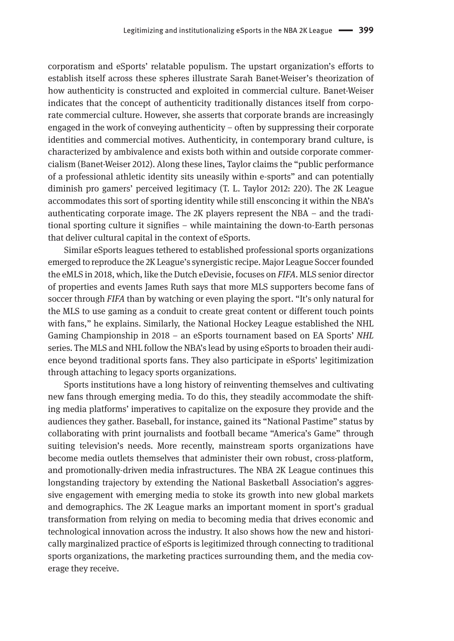corporatism and eSports' relatable populism. The upstart organization's efforts to establish itself across these spheres illustrate Sarah Banet-Weiser's theorization of how authenticity is constructed and exploited in commercial culture. Banet-Weiser indicates that the concept of authenticity traditionally distances itself from corporate commercial culture. However, she asserts that corporate brands are increasingly engaged in the work of conveying authenticity – often by suppressing their corporate identities and commercial motives. Authenticity, in contemporary brand culture, is characterized by ambivalence and exists both within and outside corporate commercialism (Banet-Weiser 2012). Along these lines, Taylor claims the "public performance of a professional athletic identity sits uneasily within e-sports" and can potentially diminish pro gamers' perceived legitimacy (T. L. Taylor 2012: 220). The 2K League accommodates this sort of sporting identity while still ensconcing it within the NBA's authenticating corporate image. The 2K players represent the NBA – and the traditional sporting culture it signifies – while maintaining the down-to-Earth personas that deliver cultural capital in the context of eSports.

Similar eSports leagues tethered to established professional sports organizations emerged to reproduce the 2K League's synergistic recipe. Major League Soccer founded the eMLS in 2018, which, like the Dutch eDevisie, focuses on *FIFA*. MLS senior director of properties and events James Ruth says that more MLS supporters become fans of soccer through *FIFA* than by watching or even playing the sport. "It's only natural for the MLS to use gaming as a conduit to create great content or different touch points with fans," he explains. Similarly, the National Hockey League established the NHL Gaming Championship in 2018 – an eSports tournament based on EA Sports' *NHL*  series. The MLS and NHL follow the NBA's lead by using eSports to broaden their audience beyond traditional sports fans. They also participate in eSports' legitimization through attaching to legacy sports organizations.

Sports institutions have a long history of reinventing themselves and cultivating new fans through emerging media. To do this, they steadily accommodate the shifting media platforms' imperatives to capitalize on the exposure they provide and the audiences they gather. Baseball, for instance, gained its "National Pastime" status by collaborating with print journalists and football became "America's Game" through suiting television's needs. More recently, mainstream sports organizations have become media outlets themselves that administer their own robust, cross-platform, and promotionally-driven media infrastructures. The NBA 2K League continues this longstanding trajectory by extending the National Basketball Association's aggressive engagement with emerging media to stoke its growth into new global markets and demographics. The 2K League marks an important moment in sport's gradual transformation from relying on media to becoming media that drives economic and technological innovation across the industry. It also shows how the new and historically marginalized practice of eSports is legitimized through connecting to traditional sports organizations, the marketing practices surrounding them, and the media coverage they receive.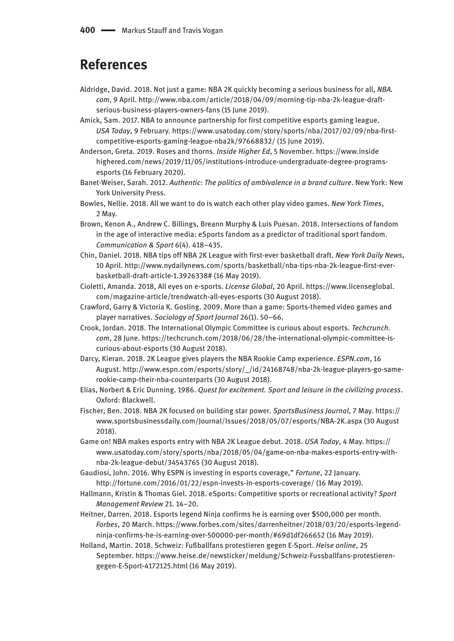## **References**

- Aldridge, David. 2018. Not just a game: NBA 2K quickly becoming a serious business for all, *NBA. com*, 9 April. [http://www.nba.com/article/2018/04/09/morning-tip-nba-2k-league-draft](http://www.nba.com/article/2018/04/09/morning-tip-nba-2k-league-draft-serious-business-players-owners-fans)[serious-business-players-owners-fans](http://www.nba.com/article/2018/04/09/morning-tip-nba-2k-league-draft-serious-business-players-owners-fans) (15 June 2019).
- Amick, Sam. 2017. NBA to announce partnership for first competitive esports gaming league. *USA Today*, 9 February. [https://www.usatoday.com/story/sports/nba/2017/02/09/nba-first](https://www.usatoday.com/story/sports/nba/2017/02/09/nba-first-competitive-esports-gaming-league-nba2k/97668832)[competitive-esports-gaming-league-nba2k/97668832/](https://www.usatoday.com/story/sports/nba/2017/02/09/nba-first-competitive-esports-gaming-league-nba2k/97668832) (15 June 2019).
- Anderson, Greta. 2019. Roses and thorns. *Inside Higher Ed*, 5 November. [https://www.inside](https://www.insidehighered.com/news/2019/11/05/institutions-introduce-undergraduate-degree-programs-esports) [highered.com/news/2019/11/05/institutions-introduce-undergraduate-degree-programs](https://www.insidehighered.com/news/2019/11/05/institutions-introduce-undergraduate-degree-programs-esports)[esports](https://www.insidehighered.com/news/2019/11/05/institutions-introduce-undergraduate-degree-programs-esports) (16 February 2020).
- Banet-Weiser, Sarah. 2012. *Authentic*: *The politics of ambivalence in a brand culture*. New York: New York University Press.
- Bowles, Nellie. 2018. All we want to do is watch each other play video games. *New York Times*, 2 May.
- Brown, Kenon A., Andrew C. Billings, Breann Murphy & Luis Puesan. 2018. Intersections of fandom in the age of interactive media: eSports fandom as a predictor of traditional sport fandom. *Communication & Sport* 6(4). 418–435.
- Chin, Daniel. 2018. NBA tips off NBA 2K League with first-ever basketball draft. *New York Daily News*, 10 April. [http://www.nydailynews.com/sports/basketball/nba-tips-nba-2k-league-first-ever](http://www.nydailynews.com/sports/basketball/nba-tips-nba-2k-league-first-ever-basketball-draft-article-1.3926338)[basketball-draft-article-1.3926338#](http://www.nydailynews.com/sports/basketball/nba-tips-nba-2k-league-first-ever-basketball-draft-article-1.3926338) (16 May 2019).
- Cioletti, Amanda. 2018, All eyes on e-sports. *License Global*, 20 April. [https://www.licenseglobal.](https://www.licenseglobal.com/magazine-article/trendwatch-all-eyes-esports) [com/magazine-article/trendwatch-all-eyes-esports](https://www.licenseglobal.com/magazine-article/trendwatch-all-eyes-esports) (30 August 2018).
- Crawford, Garry & Victoria K. Gosling. 2009. More than a game: Sports-themed video games and player narratives. *Sociology of Sport Journal* 26(1). 50–66.
- Crook, Jordan. 2018. The International Olympic Committee is curious about esports. *Techcrunch. com*, 28 June. [https://techcrunch.com/2018/06/28/the-international-olympic-committee-is](https://techcrunch.com/2018/06/28/the-international-olympic-committee-is-curious-about-esports)[curious-about-esports](https://techcrunch.com/2018/06/28/the-international-olympic-committee-is-curious-about-esports) (30 August 2018).
- Darcy, Kieran. 2018. 2K League gives players the NBA Rookie Camp experience. *ESPN.com*, 16 August. [http://www.espn.com/esports/story/\\_/id/24168748/nba-2k-league-players-go-same](http://www.espn.com/esports/story/_/id/24168748/nba-2k-league-players-go-same-rookie-camp-their-nba-counterparts)[rookie-camp-their-nba-counterparts](http://www.espn.com/esports/story/_/id/24168748/nba-2k-league-players-go-same-rookie-camp-their-nba-counterparts) (30 August 2018).
- Elias, Norbert & Eric Dunning. 1986. *Quest for excitement. Sport and leisure in the civilizing process*. Oxford: Blackwell.
- Fischer, Ben. 2018. NBA 2K focused on building star power. *SportsBusiness Journal*, 7 May. [https://](https://www.sportsbusinessdaily.com/Journal/Issues/2018/05/07/esports/NBA-2K.aspx) [www.sportsbusinessdaily.com/Journal/Issues/2018/05/07/esports/NBA-2K.aspx](https://www.sportsbusinessdaily.com/Journal/Issues/2018/05/07/esports/NBA-2K.aspx) (30 August 2018).
- Game on! NBA makes esports entry with NBA 2K League debut. 2018. *USA Today*, 4 May. [https://](https://www.usatoday.com/story/sports/nba/2018/05/04/game-on-nba-makes-esports-entry-with-nba-2k-league-debut/34543765) [www.usatoday.com/story/sports/nba/2018/05/04/game-on-nba-makes-esports-entry-with](https://www.usatoday.com/story/sports/nba/2018/05/04/game-on-nba-makes-esports-entry-with-nba-2k-league-debut/34543765)[nba-2k-league-debut/34543765](https://www.usatoday.com/story/sports/nba/2018/05/04/game-on-nba-makes-esports-entry-with-nba-2k-league-debut/34543765) (30 August 2018).
- Gaudiosi, John. 2016. Why ESPN is investing in esports coverage," *Fortune*, 22 January. <http://fortune.com/2016/01/22/espn-invests-in-esports-coverage>/ (16 May 2019).
- Hallmann, Kristin & Thomas Giel. 2018. eSports: Competitive sports or recreational activity? *Sport Management Review* 21. 14–20.
- Heitner, Darren. 2018. Esports legend Ninja confirms he is earning over \$500,000 per month. *Forbes*, 20 March. [https://www.forbes.com/sites/darrenheitner/2018/03/20/esports-legend](https://www.forbes.com/sites/darrenheitner/2018/03/20/esports-legend-ninja-confirms-he-is-earning-over-500000-per-month/#69d1df266652)[ninja-confirms-he-is-earning-over-500000-per-month/#69d1df266652](https://www.forbes.com/sites/darrenheitner/2018/03/20/esports-legend-ninja-confirms-he-is-earning-over-500000-per-month/#69d1df266652) (16 May 2019).
- Holland, Martin. 2018. Schweiz: Fußballfans protestieren gegen E-Sport. *Heise online*, 25 September. [https://www.heise.de/newsticker/meldung/Schweiz-Fussballfans-protestieren](https://www.heise.de/newsticker/meldung/Schweiz-Fussballfans-protestieren-gegen-E-Sport-4172125.html)[gegen-E-Sport-4172125.html](https://www.heise.de/newsticker/meldung/Schweiz-Fussballfans-protestieren-gegen-E-Sport-4172125.html) (16 May 2019).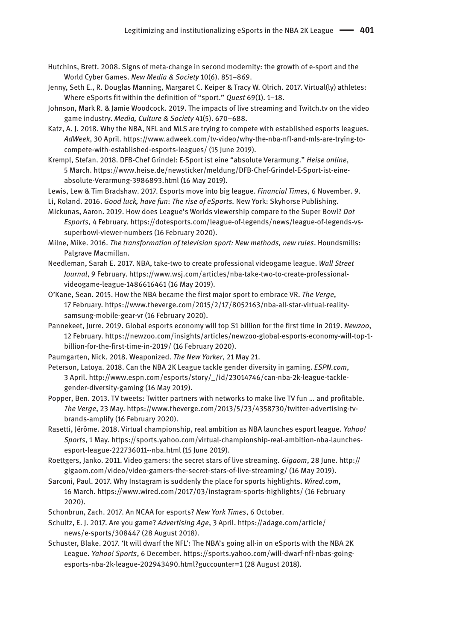- Hutchins, Brett. 2008. Signs of meta-change in second modernity: the growth of e-sport and the World Cyber Games. *New Media & Society* 10(6). 851–869.
- Jenny, Seth E., R. Douglas Manning, Margaret C. Keiper & Tracy W. Olrich. 2017. Virtual(ly) athletes: Where eSports fit within the definition of "sport." *Quest* 69(1). 1–18.
- Johnson, Mark R. & Jamie Woodcock. 2019. The impacts of live streaming and Twitch.tv on the video game industry. *Media, Culture & Society* 41(5). 670–688.
- Katz, A. J. 2018. Why the NBA, NFL and MLS are trying to compete with established esports leagues. *AdWeek*, 30 April. [https://www.adweek.com/tv-video/why-the-nba-nfl-and-mls-are-trying-to](https://www.adweek.com/tv-video/why-the-nba-nfl-and-mls-are-trying-to-compete-with-established-esports-leagues)[compete-with-established-esports-leagues](https://www.adweek.com/tv-video/why-the-nba-nfl-and-mls-are-trying-to-compete-with-established-esports-leagues)/ (15 June 2019).
- Krempl, Stefan. 2018. DFB-Chef Grindel: E-Sport ist eine "absolute Verarmung." *Heise online*, 5 March. [https://www.heise.de/newsticker/meldung/DFB-Chef-Grindel-E-Sport-ist-eine](https://www.heise.de/newsticker/meldung/DFB-Chef-Grindel-E-Sport-ist-eine-absolute-Verarmung-3986893.html)[absolute-Verarmung-3986893.html](https://www.heise.de/newsticker/meldung/DFB-Chef-Grindel-E-Sport-ist-eine-absolute-Verarmung-3986893.html) (16 May 2019).
- Lewis, Lew & Tim Bradshaw. 2017. Esports move into big league. *Financial Times*, 6 November. 9.
- Li, Roland. 2016. *Good luck, have fun*: *The rise of eSports.* New York: Skyhorse Publishing.
- Mickunas, Aaron. 2019. How does League's Worlds viewership compare to the Super Bowl? *Dot Esports*, 4 February. [https://dotesports.com/league-of-legends/news/league-of-legends-vs](https://dotesports.com/league-of-legends/news/league-of-legends-vs-superbowl-viewer-numbers)[superbowl-viewer-numbers](https://dotesports.com/league-of-legends/news/league-of-legends-vs-superbowl-viewer-numbers) (16 February 2020).
- Milne, Mike. 2016. *The transformation of television sport: New methods, new rules*. Houndsmills: Palgrave Macmillan.
- Needleman, Sarah E. 2017. NBA, take-two to create professional videogame league. *Wall Street Journal*, 9 February. [https://www.wsj.com/articles/nba-take-two-to-create-professional](https://www.wsj.com/articles/nba-take-two-to-create-professional-videogame-league-1486616461)[videogame-league-1486616461](https://www.wsj.com/articles/nba-take-two-to-create-professional-videogame-league-1486616461) (16 May 2019).
- O'Kane, Sean. 2015. How the NBA became the first major sport to embrace VR. *The Verge*, 17 February. [https://www.theverge.com/2015/2/17/8052163/nba-all-star-virtual-reality](https://www.theverge.com/2015/2/17/8052163/nba-all-star-virtual-reality-samsung-mobile-gear-vr)[samsung-mobile-gear-vr](https://www.theverge.com/2015/2/17/8052163/nba-all-star-virtual-reality-samsung-mobile-gear-vr) (16 February 2020).
- Pannekeet, Jurre. 2019. Global esports economy will top \$1 billion for the first time in 2019. *Newzoo*, 12 February. [https://newzoo.com/insights/articles/newzoo-global-esports-economy-will-top-1](https://newzoo.com/insights/articles/newzoo-global-esports-economy-will-top-1-billion-for-the-first-time-in-2019) [billion-for-the-first-time-in-2019/](https://newzoo.com/insights/articles/newzoo-global-esports-economy-will-top-1-billion-for-the-first-time-in-2019) (16 February 2020).
- Paumgarten, Nick. 2018. Weaponized. *The New Yorker*, 21 May 21.
- Peterson, Latoya. 2018. Can the NBA 2K League tackle gender diversity in gaming. *ESPN.com*, 3 April. [http://www.espn.com/esports/story/\\_/id/23014746/can-nba-2k-league-tackle](http://www.espn.com/esports/story/_/id/23014746/can-nba-2k-league-tackle-gender-diversity-gaming)[gender-diversity-gaming](http://www.espn.com/esports/story/_/id/23014746/can-nba-2k-league-tackle-gender-diversity-gaming) (16 May 2019).
- Popper, Ben. 2013. TV tweets: Twitter partners with networks to make live TV fun … and profitable. *The Verge*, 23 May. [https://www.theverge.com/2013/5/23/4358730/twitter-advertising-tv](https://www.theverge.com/2013/5/23/4358730/twitter-advertising-tv-brands-amplify)[brands-amplify](https://www.theverge.com/2013/5/23/4358730/twitter-advertising-tv-brands-amplify) (16 February 2020).
- Rasetti, Jérôme. 2018. Virtual championship, real ambition as NBA launches esport league. *Yahoo! Sports*, 1 May. [https://sports.yahoo.com/virtual-championship-real-ambition-nba-launches](https://sports.yahoo.com/virtual-championship-real-ambition-nba-launches-esport-league-222736011--nba.html)[esport-league-222736011--nba.html](https://sports.yahoo.com/virtual-championship-real-ambition-nba-launches-esport-league-222736011--nba.html) (15 June 2019).
- Roettgers, Janko. 2011. Video gamers: the secret stars of live streaming. *Gigaom*, 28 June. [http://](http://gigaom.com/video/video-gamers-the-secret-stars-of-live-streaming) [gigaom.com/video/video-gamers-the-secret-stars-of-live-streaming/](http://gigaom.com/video/video-gamers-the-secret-stars-of-live-streaming) (16 May 2019).
- Sarconi, Paul. 2017. Why Instagram is suddenly the place for sports highlights. *Wired.com*, 16 March. <https://www.wired.com/2017/03/instagram-sports-highlights>/ (16 February 2020).
- Schonbrun, Zach. 2017. An NCAA for esports? *New York Times*, 6 October.
- Schultz, E. J. 2017. Are you game? *Advertising Age*, 3 April. [https://adage.com/article/](https://adage.com/article/news/e-sports/308447) [news/e-sports/308447](https://adage.com/article/news/e-sports/308447) (28 August 2018).
- Schuster, Blake. 2017. 'It will dwarf the NFL': The NBA's going all-in on eSports with the NBA 2K League. *Yahoo! Sports*, 6 December. [https://sports.yahoo.com/will-dwarf-nfl-nbas-going](https://sports.yahoo.com/will-dwarf-nfl-nbas-going-esports-nba-2k-league-202943490.html?guccounter=1)[esports-nba-2k-league-202943490.html?guccounter=1](https://sports.yahoo.com/will-dwarf-nfl-nbas-going-esports-nba-2k-league-202943490.html?guccounter=1) (28 August 2018).